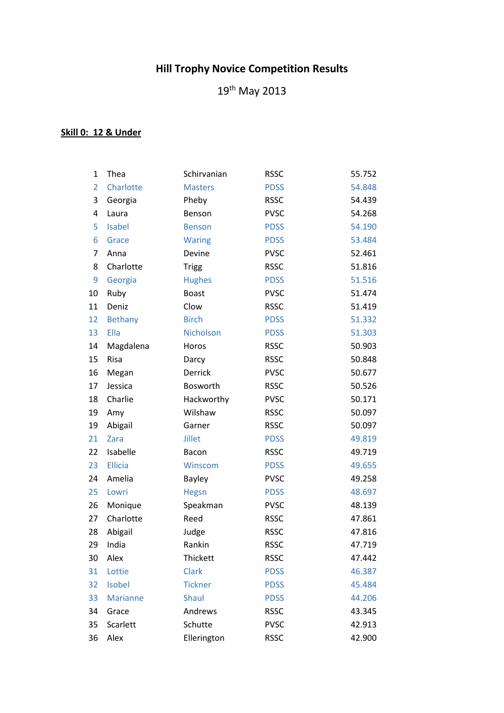## **Hill Trophy Novice Competition Results**

th May 2013

## **Skill 0: 12 & Under**

| $\mathbf 1$    | Thea            | Schirvanian    | <b>RSSC</b> | 55.752 |
|----------------|-----------------|----------------|-------------|--------|
| $\overline{2}$ | Charlotte       | <b>Masters</b> | <b>PDSS</b> | 54.848 |
| 3              | Georgia         | Pheby          | <b>RSSC</b> | 54.439 |
| 4              | Laura           | Benson         | <b>PVSC</b> | 54.268 |
| 5              | <b>Isabel</b>   | <b>Benson</b>  | <b>PDSS</b> | 54.190 |
| 6              | Grace           | <b>Waring</b>  | <b>PDSS</b> | 53.484 |
| $\overline{7}$ | Anna            | Devine         | <b>PVSC</b> | 52.461 |
| 8              | Charlotte       | <b>Trigg</b>   | <b>RSSC</b> | 51.816 |
| 9              | Georgia         | <b>Hughes</b>  | <b>PDSS</b> | 51.516 |
| 10             | Ruby            | <b>Boast</b>   | <b>PVSC</b> | 51.474 |
| 11             | Deniz           | Clow           | <b>RSSC</b> | 51.419 |
| 12             | <b>Bethany</b>  | <b>Birch</b>   | <b>PDSS</b> | 51.332 |
| 13             | Ella            | Nicholson      | <b>PDSS</b> | 51.303 |
| 14             | Magdalena       | Horos          | <b>RSSC</b> | 50.903 |
| 15             | Risa            | Darcy          | <b>RSSC</b> | 50.848 |
| 16             | Megan           | Derrick        | <b>PVSC</b> | 50.677 |
| 17             | Jessica         | Bosworth       | <b>RSSC</b> | 50.526 |
| 18             | Charlie         | Hackworthy     | <b>PVSC</b> | 50.171 |
| 19             | Amy             | Wilshaw        | <b>RSSC</b> | 50.097 |
| 19             | Abigail         | Garner         | <b>RSSC</b> | 50.097 |
| 21             | Zara            | <b>Jillet</b>  | <b>PDSS</b> | 49.819 |
| 22             | Isabelle        | Bacon          | <b>RSSC</b> | 49.719 |
| 23             | <b>Ellicia</b>  | Winscom        | <b>PDSS</b> | 49.655 |
| 24             | Amelia          | Bayley         | <b>PVSC</b> | 49.258 |
| 25             | Lowri           | Hegsn          | <b>PDSS</b> | 48.697 |
| 26             | Monique         | Speakman       | <b>PVSC</b> | 48.139 |
| 27             | Charlotte       | Reed           | <b>RSSC</b> | 47.861 |
| 28             | Abigail         | Judge          | <b>RSSC</b> | 47.816 |
| 29             | India           | Rankin         | <b>RSSC</b> | 47.719 |
| 30             | Alex            | Thickett       | <b>RSSC</b> | 47.442 |
| 31             | Lottie          | <b>Clark</b>   | <b>PDSS</b> | 46.387 |
| 32             | Isobel          | <b>Tickner</b> | <b>PDSS</b> | 45.484 |
| 33             | <b>Marianne</b> | <b>Shaul</b>   | <b>PDSS</b> | 44.206 |
| 34             | Grace           | Andrews        | <b>RSSC</b> | 43.345 |
| 35             | Scarlett        | Schutte        | <b>PVSC</b> | 42.913 |
| 36             | Alex            | Ellerington    | <b>RSSC</b> | 42.900 |